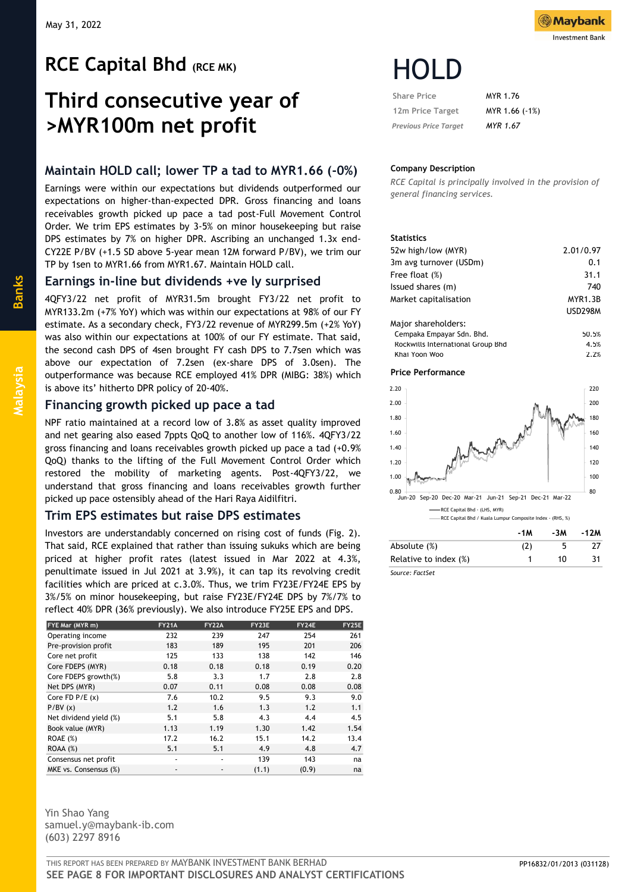# **RCE Capital Bhd (RCE MK)**

# **Third consecutive year of >MYR100m net profit**

# **Maintain HOLD call; lower TP a tad to MYR1.66 (-0%)**

Earnings were within our expectations but dividends outperformed our expectations on higher-than-expected DPR. Gross financing and loans receivables growth picked up pace a tad post-Full Movement Control Order. We trim EPS estimates by 3-5% on minor housekeeping but raise DPS estimates by 7% on higher DPR. Ascribing an unchanged 1.3x end-CY22E P/BV (+1.5 SD above 5-year mean 12M forward P/BV), we trim our TP by 1sen to MYR1.66 from MYR1.67. Maintain HOLD call.

# **Earnings in-line but dividends +ve ly surprised**

4QFY3/22 net profit of MYR31.5m brought FY3/22 net profit to MYR133.2m (+7% YoY) which was within our expectations at 98% of our FY estimate. As a secondary check, FY3/22 revenue of MYR299.5m (+2% YoY) was also within our expectations at 100% of our FY estimate. That said, the second cash DPS of 4sen brought FY cash DPS to 7.7sen which was above our expectation of 7.2sen (ex-share DPS of 3.0sen). The outperformance was because RCE employed 41% DPR (MIBG: 38%) which is above its' hitherto DPR policy of 20-40%.

## **Financing growth picked up pace a tad**

NPF ratio maintained at a record low of 3.8% as asset quality improved and net gearing also eased 7ppts QoQ to another low of 116%. 4QFY3/22 gross financing and loans receivables growth picked up pace a tad (+0.9% QoQ) thanks to the lifting of the Full Movement Control Order which restored the mobility of marketing agents. Post-4QFY3/22, we understand that gross financing and loans receivables growth further picked up pace ostensibly ahead of the Hari Raya Aidilfitri.

# **Trim EPS estimates but raise DPS estimates**

Investors are understandably concerned on rising cost of funds (Fig. 2). That said, RCE explained that rather than issuing sukuks which are being priced at higher profit rates (latest issued in Mar 2022 at 4.3%, penultimate issued in Jul 2021 at 3.9%), it can tap its revolving credit facilities which are priced at c.3.0%. Thus, we trim FY23E/FY24E EPS by 3%/5% on minor housekeeping, but raise FY23E/FY24E DPS by 7%/7% to reflect 40% DPR (36% previously). We also introduce FY25E EPS and DPS.

| FYE Mar (MYR m)        | <b>FY21A</b>             | <b>FY22A</b> | FY23E | FY24E | <b>FY25E</b> |
|------------------------|--------------------------|--------------|-------|-------|--------------|
| Operating income       | 232                      | 239          | 247   | 254   | 261          |
| Pre-provision profit   | 183                      | 189          | 195   | 201   | 206          |
| Core net profit        | 125                      | 133          | 138   | 142   | 146          |
| Core FDEPS (MYR)       | 0.18                     | 0.18         | 0.18  | 0.19  | 0.20         |
| Core FDEPS growth(%)   | 5.8                      | 3.3          | 1.7   | 2.8   | 2.8          |
| Net DPS (MYR)          | 0.07                     | 0.11         | 0.08  | 0.08  | 0.08         |
| Core $FD$ $P/E$ $(x)$  | 7.6                      | 10.2         | 9.5   | 9.3   | 9.0          |
| P/BV(x)                | 1.2                      | 1.6          | 1.3   | 1.2   | 1.1          |
| Net dividend yield (%) | 5.1                      | 5.8          | 4.3   | 4.4   | 4.5          |
| Book value (MYR)       | 1.13                     | 1.19         | 1.30  | 1.42  | 1.54         |
| ROAE(%)                | 17.2                     | 16.2         | 15.1  | 14.2  | 13.4         |
| ROAA(%)                | 5.1                      | 5.1          | 4.9   | 4.8   | 4.7          |
| Consensus net profit   | ٠                        | ٠            | 139   | 143   | na           |
| MKE vs. Consensus (%)  | $\overline{\phantom{a}}$ |              | (1.1) | (0.9) | na           |

Yin Shao Yang samuel.y@maybank-ib.com (603) 2297 8916



| <b>Share Price</b>           | MYR 1.76        |
|------------------------------|-----------------|
| 12m Price Target             | MYR 1.66 (-1%)  |
| <b>Previous Price Target</b> | <b>MYR 1.67</b> |

### **Company Description**

*RCE Capital is principally involved in the provision of general financing services.*

#### **Statistics**

| 52w high/low (MYR)                | 2.01/0.97      |
|-----------------------------------|----------------|
| 3m avg turnover (USDm)            | 0.1            |
| Free float (%)                    | 31.1           |
| Issued shares (m)                 | 740            |
| Market capitalisation             | <b>MYR1.3B</b> |
|                                   | <b>USD298M</b> |
| Major shareholders:               |                |
| Cempaka Empayar Sdn. Bhd.         | 50.5%          |
| Rockwills International Group Bhd | 4.5%           |
| Khai Yoon Woo                     | 2.2%           |

#### **Price Performance**



|                       | -1M | -3M | -1 <i>L</i> M |
|-----------------------|-----|-----|---------------|
| Absolute (%)          | (2) |     |               |
| Relative to index (%) |     | 10  | 31            |
| Source: FactSet       |     |     |               |

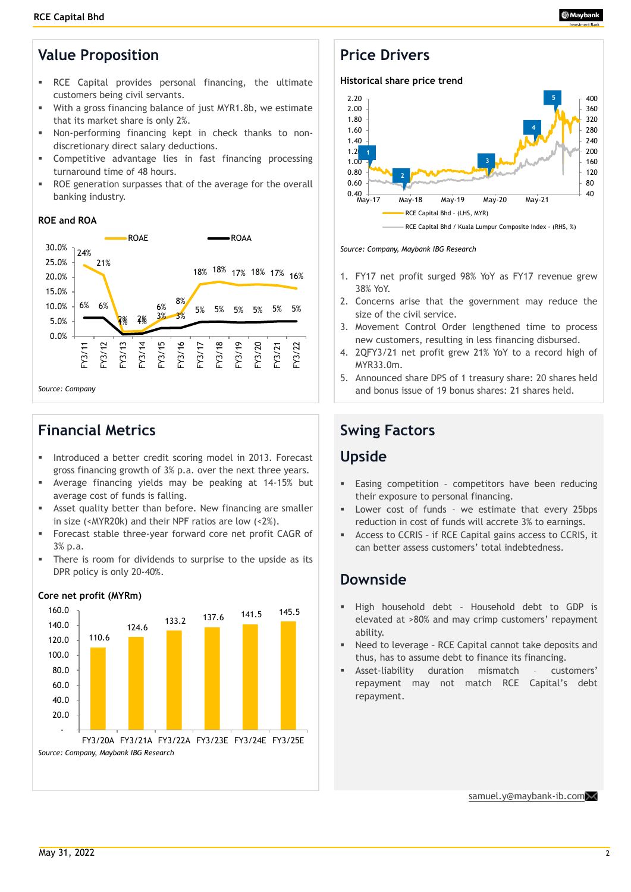# **Value Proposition**

- RCE Capital provides personal financing, the ultimate customers being civil servants.
- With a gross financing balance of just MYR1.8b, we estimate that its market share is only 2%.
- Non-performing financing kept in check thanks to nondiscretionary direct salary deductions.
- Competitive advantage lies in fast financing processing turnaround time of 48 hours.
- ROE generation surpasses that of the average for the overall banking industry.

## **ROE and ROA**



# **Financial Metrics**

- Introduced a better credit scoring model in 2013. Forecast gross financing growth of 3% p.a. over the next three years.
- Average financing yields may be peaking at 14-15% but average cost of funds is falling.
- Asset quality better than before. New financing are smaller in size (<MYR20k) and their NPF ratios are low (<2%).
- Forecast stable three-year forward core net profit CAGR of 3% p.a.
- There is room for dividends to surprise to the upside as its DPR policy is only 20-40%.



### **Core net profit (MYRm)**

# **Price Drivers**



*Source: Company, Maybank IBG Research*

- 1. FY17 net profit surged 98% YoY as FY17 revenue grew 38% YoY.
- 2. Concerns arise that the government may reduce the size of the civil service.
- 3. Movement Control Order lengthened time to process new customers, resulting in less financing disbursed.
- 4. 2QFY3/21 net profit grew 21% YoY to a record high of MYR33.0m.
- 5. Announced share DPS of 1 treasury share: 20 shares held and bonus issue of 19 bonus shares: 21 shares held.

# **Swing Factors**

# **Upside**

- Easing competition competitors have been reducing their exposure to personal financing.
- Lower cost of funds we estimate that every 25bps reduction in cost of funds will accrete 3% to earnings.
- Access to CCRIS if RCE Capital gains access to CCRIS, it can better assess customers' total indebtedness.

# **Downside**

- High household debt Household debt to GDP is elevated at >80% and may crimp customers' repayment ability.
- Need to leverage RCE Capital cannot take deposits and thus, has to assume debt to finance its financing.
- Asset-liability duration mismatch customers' repayment may not match RCE Capital's debt repayment.

[samuel.y@maybank](mailto:samuel.y@maybank-ib.com)-ib.co[m](mailto:samuel.y@maybank-ib.com)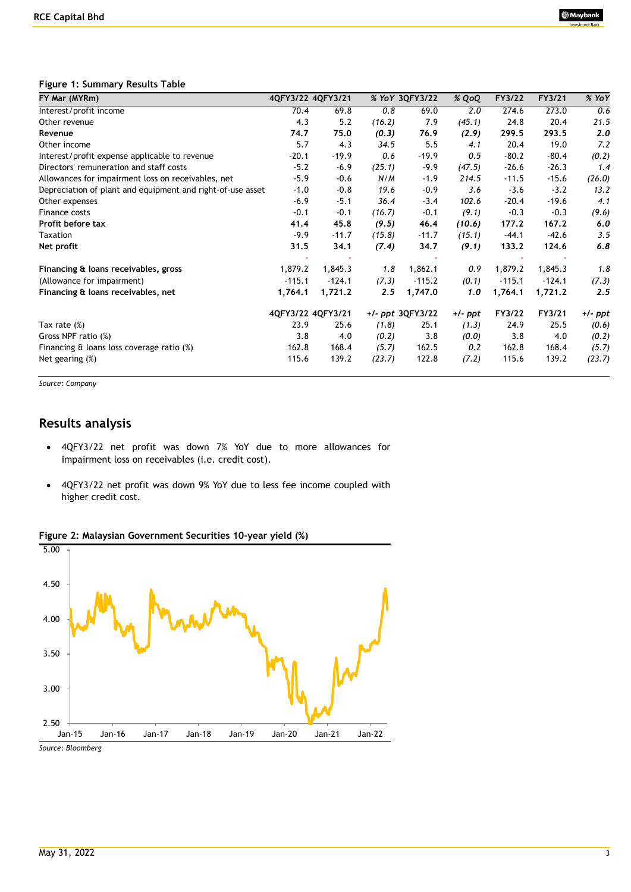### **Figure 1: Summary Results Table**

| FY Mar (MYRm)                                              |          | 4QFY3/22 4QFY3/21 |        | % YoY 3QFY3/22   | % QoQ   | FY3/22   | FY3/21   | % YoY   |
|------------------------------------------------------------|----------|-------------------|--------|------------------|---------|----------|----------|---------|
| Interest/profit income                                     | 70.4     | 69.8              | 0.8    | 69.0             | 2.0     | 274.6    | 273.0    | 0.6     |
| Other revenue                                              | 4.3      | 5.2               | (16.2) | 7.9              | (45.1)  | 24.8     | 20.4     | 21.5    |
| Revenue                                                    | 74.7     | 75.0              | (0.3)  | 76.9             | (2.9)   | 299.5    | 293.5    | 2.0     |
| Other income                                               | 5.7      | 4.3               | 34.5   | 5.5              | 4.1     | 20.4     | 19.0     | 7.2     |
| Interest/profit expense applicable to revenue              | $-20.1$  | $-19.9$           | 0.6    | $-19.9$          | 0.5     | $-80.2$  | $-80.4$  | (0.2)   |
| Directors' remuneration and staff costs                    | $-5.2$   | $-6.9$            | (25.1) | $-9.9$           | (47.5)  | $-26.6$  | $-26.3$  | 1.4     |
| Allowances for impairment loss on receivables, net         | $-5.9$   | $-0.6$            | N/M    | $-1.9$           | 214.5   | $-11.5$  | $-15.6$  | (26.0)  |
| Depreciation of plant and equipment and right-of-use asset | $-1.0$   | $-0.8$            | 19.6   | $-0.9$           | 3.6     | $-3.6$   | $-3.2$   | 13.2    |
| Other expenses                                             | $-6.9$   | $-5.1$            | 36.4   | $-3.4$           | 102.6   | $-20.4$  | $-19.6$  | 4.1     |
| Finance costs                                              | $-0.1$   | $-0.1$            | (16.7) | $-0.1$           | (9.1)   | $-0.3$   | $-0.3$   | (9.6)   |
| Profit before tax                                          | 41.4     | 45.8              | (9.5)  | 46.4             | (10.6)  | 177.2    | 167.2    | 6.0     |
| Taxation                                                   | $-9.9$   | $-11.7$           | (15.8) | $-11.7$          | (15.1)  | $-44.1$  | $-42.6$  | 3.5     |
| Net profit                                                 | 31.5     | 34.1              | (7.4)  | 34.7             | (9.1)   | 133.2    | 124.6    | 6.8     |
| Financing & loans receivables, gross                       | 1,879.2  | 1,845.3           | 1.8    | 1,862.1          | 0.9     | 1,879.2  | 1,845.3  | 1.8     |
| (Allowance for impairment)                                 | $-115.1$ | $-124.1$          | (7.3)  | $-115.2$         | (0.1)   | $-115.1$ | $-124.1$ | (7.3)   |
| Financing & loans receivables, net                         | 1,764.1  | 1,721.2           | 2.5    | 1,747.0          | 1.0     | 1,764.1  | 1,721.2  | 2.5     |
|                                                            |          | 4QFY3/22 4QFY3/21 |        | +/- ppt 3QFY3/22 | +/- ppt | FY3/22   | FY3/21   | +/- ppt |
| Tax rate $(\%)$                                            | 23.9     | 25.6              | (1.8)  | 25.1             | (1.3)   | 24.9     | 25.5     | (0.6)   |
| Gross NPF ratio (%)                                        | 3.8      | 4.0               | (0.2)  | 3.8              | (0.0)   | 3.8      | 4.0      | (0.2)   |
| Financing & loans loss coverage ratio (%)                  | 162.8    | 168.4             | (5.7)  | 162.5            | 0.2     | 162.8    | 168.4    | (5.7)   |
| Net gearing $(\%)$                                         | 115.6    | 139.2             | (23.7) | 122.8            | (7.2)   | 115.6    | 139.2    | (23.7)  |

*Source: Company* 

5.00

# **Results analysis**

- 4QFY3/22 net profit was down 7% YoY due to more allowances for impairment loss on receivables (i.e. credit cost).
- 4QFY3/22 net profit was down 9% YoY due to less fee income coupled with higher credit cost.

### **Figure 2: Malaysian Government Securities 10-year yield (%)**



*Source: Bloomberg*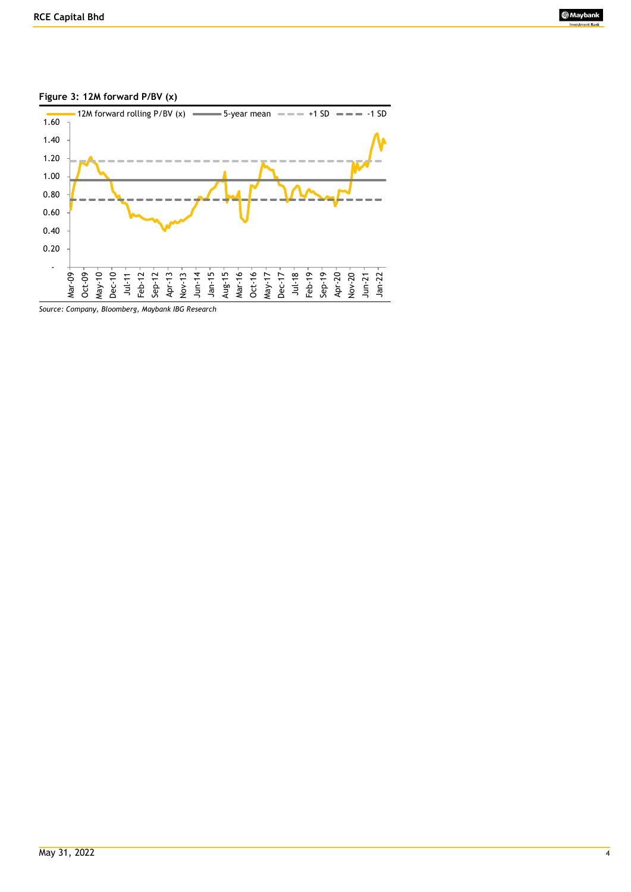

## **Figure 3: 12M forward P/BV (x)**

*Source: Company, Bloomberg, Maybank IBG Research*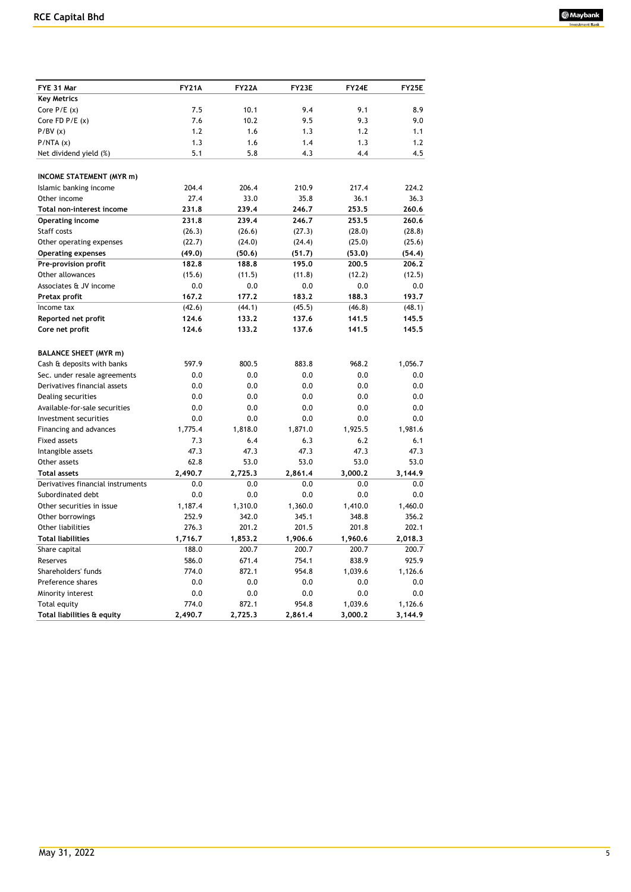| FYE 31 Mar                        | <b>FY21A</b> | <b>FY22A</b> | FY23E   | FY24E   | <b>FY25E</b> |
|-----------------------------------|--------------|--------------|---------|---------|--------------|
| <b>Key Metrics</b>                |              |              |         |         |              |
| Core $P/E(x)$                     | 7.5          | 10.1         | 9.4     | 9.1     | 8.9          |
| Core FD $P/E(x)$                  | 7.6          | 10.2         | 9.5     | 9.3     | 9.0          |
| P/BV(x)                           | 1.2          | 1.6          | 1.3     | 1.2     | 1.1          |
| P/NTA(x)                          | 1.3          | 1.6          | 1.4     | 1.3     | 1.2          |
| Net dividend yield (%)            | 5.1          | 5.8          | 4.3     | 4.4     | 4.5          |
|                                   |              |              |         |         |              |
| <b>INCOME STATEMENT (MYR m)</b>   |              |              |         |         |              |
| Islamic banking income            | 204.4        | 206.4        | 210.9   | 217.4   | 224.2        |
| Other income                      | 27.4         | 33.0         | 35.8    | 36.1    | 36.3         |
| Total non-interest income         | 231.8        | 239.4        | 246.7   | 253.5   | 260.6        |
| <b>Operating income</b>           | 231.8        | 239.4        | 246.7   | 253.5   | 260.6        |
| Staff costs                       | (26.3)       | (26.6)       | (27.3)  | (28.0)  | (28.8)       |
| Other operating expenses          | (22.7)       | (24.0)       | (24.4)  | (25.0)  | (25.6)       |
| <b>Operating expenses</b>         | (49.0)       | (50.6)       | (51.7)  | (53.0)  | (54.4)       |
| Pre-provision profit              | 182.8        | 188.8        | 195.0   | 200.5   | 206.2        |
| Other allowances                  | (15.6)       | (11.5)       | (11.8)  | (12.2)  | (12.5)       |
| Associates & JV income            | 0.0          | 0.0          | 0.0     | 0.0     | 0.0          |
| Pretax profit                     | 167.2        | 177.2        | 183.2   | 188.3   | 193.7        |
| Income tax                        | (42.6)       | (44.1)       | (45.5)  | (46.8)  | (48.1)       |
| Reported net profit               | 124.6        | 133.2        | 137.6   | 141.5   | 145.5        |
| Core net profit                   | 124.6        | 133.2        | 137.6   | 141.5   | 145.5        |
|                                   |              |              |         |         |              |
| <b>BALANCE SHEET (MYR m)</b>      |              |              |         |         |              |
| Cash & deposits with banks        | 597.9        | 800.5        | 883.8   | 968.2   | 1,056.7      |
| Sec. under resale agreements      | 0.0          | 0.0          | 0.0     | 0.0     | 0.0          |
| Derivatives financial assets      | 0.0          | 0.0          | 0.0     | 0.0     | 0.0          |
| Dealing securities                | 0.0          | 0.0          | 0.0     | 0.0     | 0.0          |
| Available-for-sale securities     | 0.0          | 0.0          | 0.0     | 0.0     | 0.0          |
| Investment securities             | 0.0          | 0.0          | 0.0     | 0.0     | 0.0          |
| Financing and advances            | 1,775.4      | 1,818.0      | 1,871.0 | 1,925.5 | 1,981.6      |
| <b>Fixed assets</b>               | 7.3          | 6.4          | 6.3     | 6.2     | 6.1          |
| Intangible assets                 | 47.3         | 47.3         | 47.3    | 47.3    | 47.3         |
| Other assets                      | 62.8         | 53.0         | 53.0    | 53.0    | 53.0         |
| <b>Total assets</b>               | 2,490.7      | 2,725.3      | 2,861.4 | 3,000.2 | 3,144.9      |
| Derivatives financial instruments | 0.0          | 0.0          | 0.0     | 0.0     | 0.0          |
| Subordinated debt                 | 0.0          | 0.0          | 0.0     | 0.0     | 0.0          |
| Other securities in issue         | 1,187.4      | 1,310.0      | 1,360.0 | 1,410.0 | 1,460.0      |
| Other borrowings                  | 252.9        | 342.0        | 345.1   | 348.8   | 356.2        |
| <b>Other liabilities</b>          | 276.3        | 201.2        | 201.5   | 201.8   | 202.1        |
| <b>Total liabilities</b>          | 1,716.7      | 1,853.2      | 1,906.6 | 1,960.6 | 2,018.3      |
| Share capital                     | 188.0        | 200.7        | 200.7   | 200.7   | 200.7        |
| Reserves                          | 586.0        | 671.4        | 754.1   | 838.9   | 925.9        |
| Shareholders' funds               | 774.0        | 872.1        | 954.8   | 1,039.6 | 1,126.6      |
| Preference shares                 | 0.0          | 0.0          | 0.0     | 0.0     | 0.0          |
| Minority interest                 | 0.0          | 0.0          | 0.0     | 0.0     | 0.0          |
| Total equity                      | 774.0        | 872.1        | 954.8   | 1,039.6 | 1,126.6      |
| Total liabilities & equity        | 2,490.7      | 2,725.3      | 2,861.4 | 3,000.2 | 3,144.9      |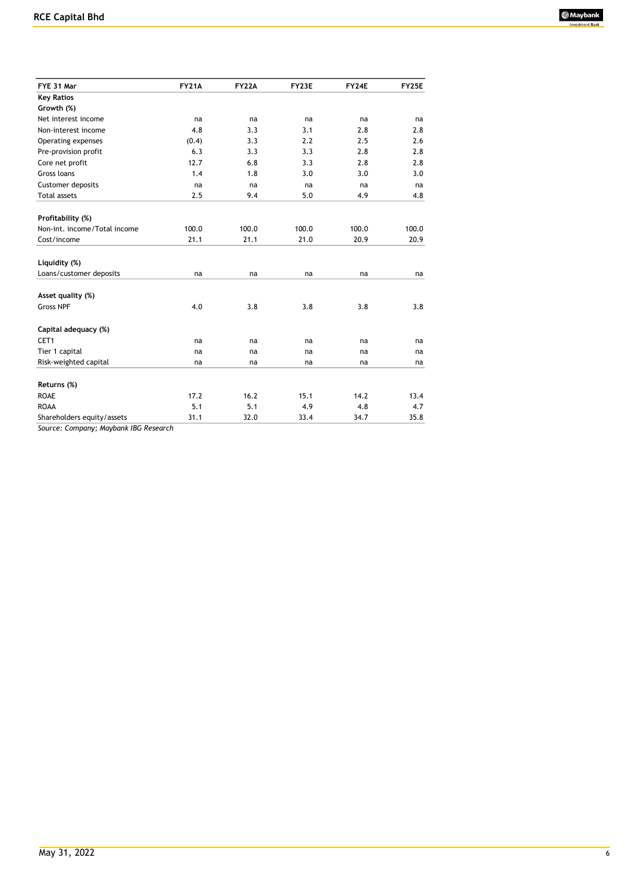| FYE 31 Mar                          | <b>FY21A</b> | <b>FY22A</b> | FY23E | FY24E | <b>FY25E</b> |
|-------------------------------------|--------------|--------------|-------|-------|--------------|
| <b>Key Ratios</b>                   |              |              |       |       |              |
| Growth (%)                          |              |              |       |       |              |
| Net interest income                 | na           | na           | na    | na    | na           |
| Non-interest income                 | 4.8          | 3.3          | 3.1   | 2.8   | 2.8          |
| Operating expenses                  | (0.4)        | 3.3          | 2.2   | 2.5   | 2.6          |
| Pre-provision profit                | 6.3          | 3.3          | 3.3   | 2.8   | 2.8          |
| Core net profit                     | 12.7         | 6.8          | 3.3   | 2.8   | 2.8          |
| Gross loans                         | 1.4          | 1.8          | 3.0   | 3.0   | 3.0          |
| Customer deposits                   | na           | na           | na    | na    | na           |
| <b>Total assets</b>                 | 2.5          | 9.4          | 5.0   | 4.9   | 4.8          |
|                                     |              |              |       |       |              |
| Profitability (%)                   |              |              |       |       |              |
| Non-int. income/Total income        | 100.0        | 100.0        | 100.0 | 100.0 | 100.0        |
| Cost/income                         | 21.1         | 21.1         | 21.0  | 20.9  | 20.9         |
|                                     |              |              |       |       |              |
| Liquidity (%)                       |              |              |       |       |              |
| Loans/customer deposits             | na           | na           | na    | na    | na           |
|                                     |              |              |       |       |              |
| Asset quality (%)                   |              |              |       |       |              |
| <b>Gross NPF</b>                    | 4.0          | 3.8          | 3.8   | 3.8   | 3.8          |
|                                     |              |              |       |       |              |
| Capital adequacy (%)                |              |              |       |       |              |
| CET1                                | na           | na           | na    | na    | na           |
| Tier 1 capital                      | na           | na           | na    | na    | na           |
| Risk-weighted capital               | na           | na           | na    | na    | na           |
|                                     |              |              |       |       |              |
| Returns (%)                         |              |              |       |       |              |
| <b>ROAE</b>                         | 17.2         | 16.2         | 15.1  | 14.2  | 13.4         |
| <b>ROAA</b>                         | 5.1          | 5.1          | 4.9   | 4.8   | 4.7          |
| Shareholders equity/assets          | 31.1         | 32.0         | 33.4  | 34.7  | 35.8         |
| Course Company Hayhork IDC Desearch |              |              |       |       |              |

*Source: Company; Maybank IBG Research*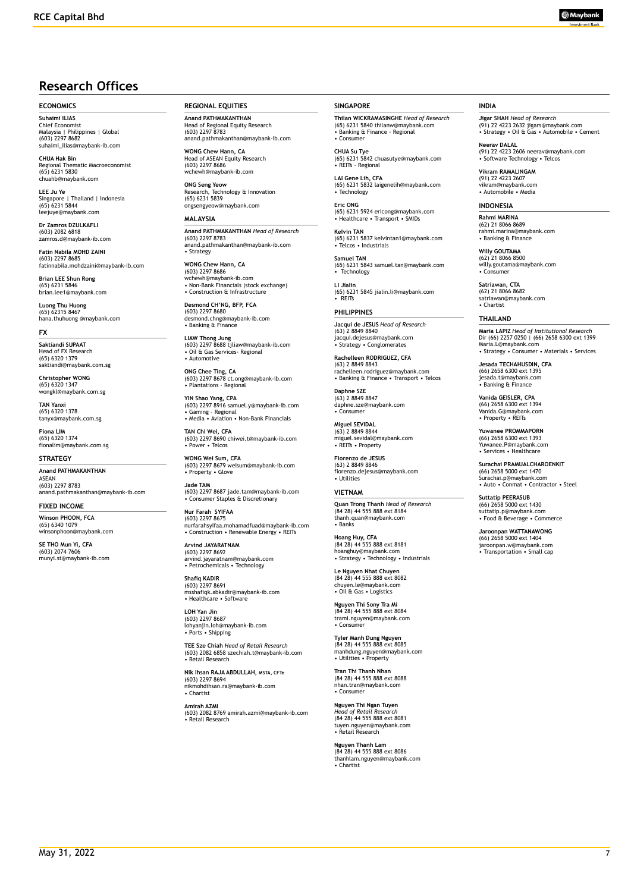# **Research Offices**

#### **ECONOMICS**

**Suhaimi ILIAS** Chief Economist Malaysia | Philippines | Global (603) 2297 8682 suhaimi\_ilias@maybank-ib.com

**CHUA Hak Bin** Regional Thematic Macroeconomist (65) 6231 5830 chuahb@maybank.com

**LEE Ju Ye** Singapore | Thailand | Indonesia (65) 6231 5844 leejuye@maybank.com

**Dr Zamros DZULKAFLI**  (603) 2082 6818 zamros.d@maybank-ib.com

**Fatin Nabila MOHD ZAINI** (603) 2297 8685 fatinnabila.mohdzaini@maybank-ib.com

**Brian LEE Shun Rong** (65) 6231 5846 brian.lee1@maybank.com

**Luong Thu Huong** (65) 62315 8467 hana.thuhuong @maybank.com

**FX**

**Saktiandi SUPAAT** Head of FX Research (65) 6320 1379 saktiandi@maybank.com.sg

**Christopher WONG** (65) 6320 1347 wongkl@maybank.com.sg

**TAN Yanxi** (65) 6320 1378 tanyx@maybank.com.sg

**Fiona LIM** (65) 6320 1374 fionalim@maybank.com.sg

#### **STRATEGY**

**Anand PATHMAKANTHAN** ASEAN (603) 2297 8783 anand.pathmakanthan@maybank-ib.com

**FIXED INCOME**

**Winson PHOON, FCA** (65) 6340 1079 winsonphoon@maybank.com

**SE THO Mun Yi, CFA** (603) 2074 7606 munyi.st@maybank-ib.com **REGIONAL EQUITIES**

**Anand PATHMAKANTHAN** Head of Regional Equity Research (603) 2297 8783 anand.pathmakanthan@maybank-ib.com

**WONG Chew Hann, CA** Head of ASEAN Equity Research (603) 2297 8686 www<br>naybank-ib.com

**ONG Seng Yeow** Research, Technology & Innovation (65) 6231 5839 ongsengyeow@maybank.com

#### **MALAYSIA**

**Anand PATHMAKANTHAN** *Head of Research* (603) 2297 8783 anand.pathmakanthan@maybank-ib.com • Strategy

**WONG Chew Hann, CA** (603) 2297 8686 wchewh@maybank-ib.com • Non-Bank Financials (stock exchange) • Construction & Infrastructure

**Desmond CH'NG, BFP, FCA** (603) 2297 8680 desmond.chng@maybank-ib.com • Banking & Finance

**LIAW Thong Jung** (603) 2297 8688 tjliaw@maybank-ib.com • Oil & Gas Services- Regional • Automotive

**ONG Chee Ting, CA** (603) 2297 8678 ct.ong@maybank-ib.com • Plantations - Regional

**YIN Shao Yang, CPA** (603) 2297 8916 samuel.y@maybank-ib.com • Gaming – Regional • Media • Aviation • Non-Bank Financials

**TAN Chi Wei, CFA** (603) 2297 8690 chiwei.t@maybank-ib.com • Power • Telcos

**WONG Wei Sum, CFA** (603) 2297 8679 weisum@maybank-ib.com • Property • Glove

**Jade TAM** (603) 2297 8687 jade.tam@maybank-ib.com • Consumer Staples & Discretionary

**Nur Farah SYIFAA** (603) 2297 8675 nurfarahsyifaa.mohamadfuad@maybank-ib.com • Construction • Renewable Energy • REITs

**Arvind JAYARATNAM** (603) 2297 8692 arvind.jayaratnam@maybank.com • Petrochemicals • Technology

**Shafiq KADIR** (603) 2297 8691 msshafiqk.abkadir@maybank-ib.com • Healthcare • Software

**LOH Yan Jin** (603) 2297 8687 lohyanjin.loh@maybank-ib.com • Ports • Shipping

**TEE Sze Chiah** *Head of Retail Research* (603) 2082 6858 szechiah.t@maybank-ib.com • Retail Research

**Nik Ihsan RAJA ABDULLAH, MSTA, CFTe** (603) 2297 8694 nikmohdihsan.ra@maybank-ib.com • Chartist

**Amirah AZMI** (603) 2082 8769 amirah.azmi@maybank-ib.com • Retail Research

#### **SINGAPORE**

**Thilan WICKRAMASINGHE** *Head of Research* (65) 6231 5840 thilanw@maybank.com • Banking & Finance - Regional • Consumer

**CHUA Su Tye**  (65) 6231 5842 chuasutye@maybank.com • REITs - Regional

**LAI Gene Lih, CFA** (65) 6231 5832 laigenelih@maybank.com • Technology

**Eric ONG** (65) 6231 5924 ericong@maybank.com • Healthcare • Transport • SMIDs

**Kelvin TAN** (65) 6231 5837 kelvintan1@maybank.com • Telcos • Industrials

**Samuel TAN** (65) 6231 5843 samuel.tan@maybank.com • Technology

**LI Jialin** (65) 6231 5845 jialin.li@maybank.com • REITs

**PHILIPPINES Jacqui de JESUS** *Head of Research* (63) 2 8849 8840 jacqui.dejesus@maybank.com • Strategy • Conglomerates

**Rachelleen RODRIGUEZ, CFA** (63) 2 8849 8843 rachelleen.rodriguez@maybank.com • Banking & Finance • Transport • Telcos

**Daphne SZE** (63) 2 8849 8847 daphne.sze@maybank.com • Consumer

**Miguel SEVIDAL** (63) 2 8849 8844 miguel.sevidal@maybank.com • REITs • Property

**Fiorenzo de JESUS** (63) 2 8849 8846 fiorenzo.dejesus@maybank.com • Utilities

#### **VIETNAM**

**Quan Trong Thanh** *Head of Research* (84 28) 44 555 888 ext 8184 thanh.quan@maybank.com • Banks

**Hoang Huy, CFA** (84 28) 44 555 888 ext 8181 hoanghuy@maybank.com • Strategy • Technology • Industrials

**Le Nguyen Nhat Chuyen** (84 28) 44 555 888 ext 8082 chuyen.le@maybank.com • Oil & Gas • Logistics

**Nguyen Thi Sony Tra Mi** (84 28) 44 555 888 ext 8084 trami.nguyen@maybank.com • Consumer

**Tyler Manh Dung Nguyen** (84 28) 44 555 888 ext 8085 manhdung.nguyen@maybank.com • Utilities • Property

**Tran Thi Thanh Nhan** (84 28) 44 555 888 ext 8088 nhan.tran@maybank.com • Consumer

**Nguyen Thi Ngan Tuyen** *Head of Retail Research* (84 28) 44 555 888 ext 8081 tuyen.nguyen@maybank.com • Retail Research

**Nguyen Thanh Lam** (84 28) 44 555 888 ext 8086 thanhlam.nguyen@maybank.com • Chartist

#### **INDIA**

**Jigar SHAH** *Head of Research* (91) 22 4223 2632 jigars@maybank.com • Strategy • Oil & Gas • Automobile • Cement

**Neerav DALAL** (91) 22 4223 2606 neerav@maybank.com • Software Technology • Telcos

**Vikram RAMALINGAM** (91) 22 4223 2607 vikram@maybank.com • Automobile • Media

#### **INDONESIA**

**Rahmi MARINA** (62) 21 8066 8689 rahmi.marina@maybank.com • Banking & Finance

**Willy GOUTAMA** (62) 21 8066 8500 willy.goutama@maybank.com • Consumer

**Satriawan, CTA** (62) 21 8066 8682 satriawan@maybank.com • Chartist

#### **THAILAND**

**Maria LAPIZ** *Head of Institutional Research* Dir (66) 2257 0250 | (66) 2658 6300 ext 1399 Maria.L@maybank.com • Strategy • Consumer • Materials • Services

**Jesada TECHAHUSDIN, CFA** (66) 2658 6300 ext 1395 jesada.t@maybank.com • Banking & Finance

**Vanida GEISLER, CPA** (66) 2658 6300 ext 1394 Vanida.G@maybank.com • Property • REITs

**Yuwanee PROMMAPORN** (66) 2658 6300 ext 1393 Yuwanee.P@maybank.com • Services • Healthcare

**Surachai PRAMUALCHAROENKIT**  (66) 2658 5000 ext 1470 Surachai.p@maybank.com • Auto • Conmat • Contractor • Steel

**Suttatip PEERASUB** (66) 2658 5000 ext 1430 suttatip.p@maybank.com • Food & Beverage • Commerce

**Jaroonpan WATTANAWONG** (66) 2658 5000 ext 1404 jaroonpan.w@maybank.com • Transportation • Small cap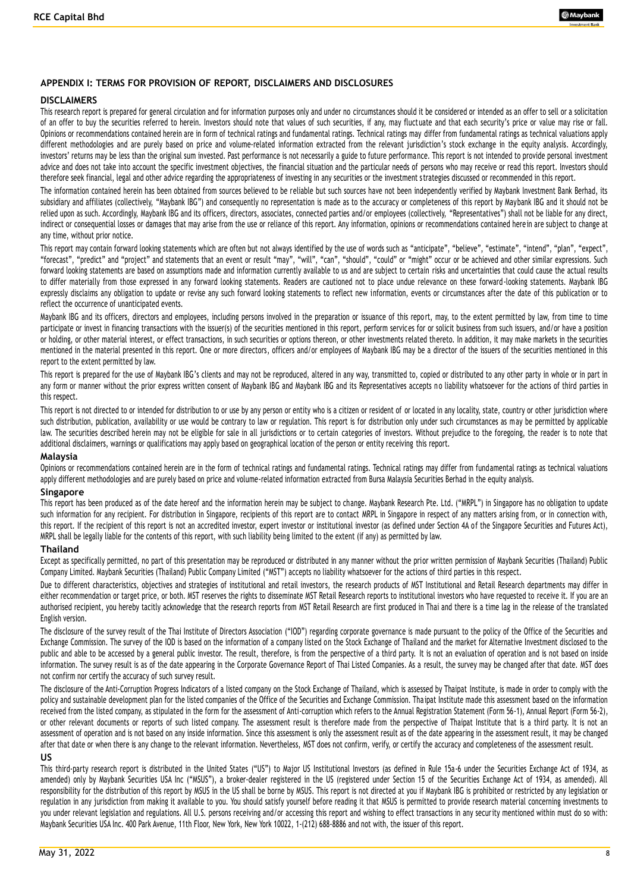### **APPENDIX I: TERMS FOR PROVISION OF REPORT, DISCLAIMERS AND DISCLOSURES**

#### **DISCLAIMERS**

This research report is prepared for general circulation and for information purposes only and under no circumstances should it be considered or intended as an offer to sell or a solicitation of an offer to buy the securities referred to herein. Investors should note that values of such securities, if any, may fluctuate and that each security's price or value may rise or fall. Opinions or recommendations contained herein are in form of technical ratings and fundamental ratings. Technical ratings may differ from fundamental ratings as technical valuations apply different methodologies and are purely based on price and volume-related information extracted from the relevant jurisdiction's stock exchange in the equity analysis. Accordingly, investors' returns may be less than the original sum invested. Past performance is not necessarily a guide to future performance. This report is not intended to provide personal investment advice and does not take into account the specific investment objectives, the financial situation and the particular needs of persons who may receive or read this report. Investors should therefore seek financial, legal and other advice regarding the appropriateness of investing in any securities or the investment s trategies discussed or recommended in this report.

The information contained herein has been obtained from sources believed to be reliable but such sources have not been independently verified by Maybank Investment Bank Berhad, its subsidiary and affiliates (collectively, "Maybank IBG") and consequently no representation is made as to the accuracy or completeness of this report by Maybank IBG and it should not be relied upon as such. Accordingly, Maybank IBG and its officers, directors, associates, connected parties and/or employees (collectively, "Representatives") shall not be liable for any direct, indirect or consequential losses or damages that may arise from the use or reliance of this report. Any information, opinions or recommendations contained here in are subject to change at any time, without prior notice.

This report may contain forward looking statements which are often but not always identified by the use of words such as "anticipate", "believe", "estimate", "intend", "plan", "expect", "forecast", "predict" and "project" and statements that an event or result "may", "will", "can", "should", "could" or "might" occur or be achieved and other similar expressions. Such forward looking statements are based on assumptions made and information currently available to us and are subject to certain risks and uncertainties that could cause the actual results to differ materially from those expressed in any forward looking statements. Readers are cautioned not to place undue relevance on these forward-looking statements. Maybank IBG expressly disclaims any obligation to update or revise any such forward looking statements to reflect new information, events or circumstances after the date of this publication or to reflect the occurrence of unanticipated events.

Maybank IBG and its officers, directors and employees, including persons involved in the preparation or issuance of this report, may, to the extent permitted by law, from time to time participate or invest in financing transactions with the issuer(s) of the securities mentioned in this report, perform services for or solicit business from such issuers, and/or have a position or holding, or other material interest, or effect transactions, in such securities or options thereon, or other investments related thereto. In addition, it may make markets in the securities mentioned in the material presented in this report. One or more directors, officers and/or employees of Maybank IBG may be a director of the issuers of the securities mentioned in this report to the extent permitted by law.

This report is prepared for the use of Maybank IBG's clients and may not be reproduced, altered in any way, transmitted to, copied or distributed to any other party in whole or in part in any form or manner without the prior express written consent of Maybank IBG and Maybank IBG and its Representatives accepts no liability whatsoever for the actions of third parties in this respect.

This report is not directed to or intended for distribution to or use by any person or entity who is a citizen or resident of or located in any locality, state, country or other jurisdiction where such distribution, publication, availability or use would be contrary to law or regulation. This report is for distribution only under such circumstances as may be permitted by applicable law. The securities described herein may not be eligible for sale in all jurisdictions or to certain categories of investors. Without prejudice to the foregoing, the reader is to note that additional disclaimers, warnings or qualifications may apply based on geographical location of the person or entity receiving this report.

#### **Malaysia**

Opinions or recommendations contained herein are in the form of technical ratings and fundamental ratings maveral ratings may differ from fundamental ratings as technical valuations apply different methodologies and are purely based on price and volume-related information extracted from Bursa Malaysia Securities Berhad in the equity analysis.

#### **Singapore**

This report has been produced as of the date hereof and the information herein may be subject to change. Maybank Research Pte. Ltd. ("MRPL") in Singapore has no obligation to update such information for any recipient. For distribution in Singapore, recipients of this report are to contact MRPL in Singapore in respect of any matters arising from, or in connection with, this report. If the recipient of this report is not an accredited investor, expert investor or institutional investor (as defined under Section 4A of the Singapore Securities and Futures Act), MRPL shall be legally liable for the contents of this report, with such liability being limited to the extent (if any) as permitted by law.

### **Thailand**

Except as specifically permitted, no part of this presentation may be reproduced or distributed in any manner without the prior written permission of Maybank Securities (Thailand) Public Company Limited. Maybank Securities (Thailand) Public Company Limited ("MST") accepts no liability whatsoever for the actions of third parties in this respect.

Due to different characteristics, objectives and strategies of institutional and retail investors, the research products of MST Institutional and Retail Research departments may differ in either recommendation or target price, or both. MST reserves the rights to disseminate MST Retail Research reports to institutional investors who have requested to receive it. If you are an authorised recipient, you hereby tacitly acknowledge that the research reports from MST Retail Research are first produced in Thai and there is a time lag in the release of the translated English version.

The disclosure of the survey result of the Thai Institute of Directors Association ("IOD") regarding corporate governance is made pursuant to the policy of the Office of the Securities and Exchange Commission. The survey of the IOD is based on the information of a company listed on the Stock Exchange of Thailand and the market for Alternative Investment disclosed to the public and able to be accessed by a general public investor. The result, therefore, is from the perspective of a third party. It is not an evaluation of operation and is not based on inside information. The survey result is as of the date appearing in the Corporate Governance Report of Thai Listed Companies. As a result, the survey may be changed after that date. MST does not confirm nor certify the accuracy of such survey result.

The disclosure of the Anti-Corruption Progress Indicators of a listed company on the Stock Exchange of Thailand, which is assessed by Thaipat Institute, is made in order to comply with the policy and sustainable development plan for the listed companies of the Office of the Securities and Exchange Commission. Tha ipat Institute made this assessment based on the information received from the listed company, as stipulated in the form for the assessment of Anti-corruption which refers to the Annual Registration Statement (Form 56-1), Annual Report (Form 56-2), or other relevant documents or reports of such listed company. The assessment result is therefore made from the perspective of Thaipat Institute that is a third party. It is not an assessment of operation and is not based on any inside information. Since this assessment is only the assessment result as of the date appearing in the assessment result, it may be changed after that date or when there is any change to the relevant information. Nevertheless, MST does not confirm, verify, or certify the accuracy and completeness of the assessment result.

#### **US**

This third-party research report is distributed in the United States ("US") to Major US Institutional Investors (as defined in Rule 15a-6 under the Securities Exchange Act of 1934, as amended) only by Maybank Securities USA Inc ("MSUS"), a broker-dealer registered in the US (registered under Section 15 of the Securities Exchange Act of 1934, as amended). All responsibility for the distribution of this report by MSUS in the US shall be borne by MSUS. This report is not directed at you if Maybank IBG is prohibited or restricted by any legislation or regulation in any jurisdiction from making it available to you. You should satisfy yourself before reading it that MSUS is permitted to provide research material concerning investments to you under relevant legislation and regulations. All U.S. persons receiving and/or accessing this report and wishing to effect transactions in any security mentioned within must do so with: Maybank Securities USA Inc. 400 Park Avenue, 11th Floor, New York, New York 10022, 1-(212) 688-8886 and not with, the issuer of this report.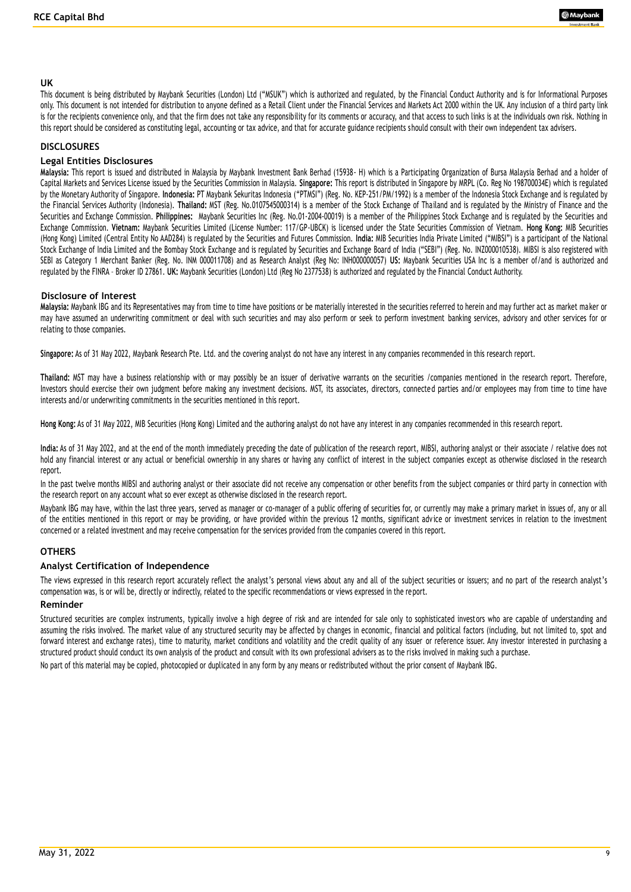### **UK**

This document is being distributed by Maybank Securities (London) Ltd ("MSUK") which is authorized and regulated, by the Financial Conduct Authority and is for Informational Purposes only. This document is not intended for distribution to anyone defined as a Retail Client under the Financial Services and Markets Act 2000 within the UK. Any inclusion of a third party link is for the recipients convenience only, and that the firm does not take any responsibility for its comments or accuracy, and that access to such links is at the individuals own risk. Nothing in this report should be considered as constituting legal, accounting or tax advice, and that for accurate guidance recipients should consult with their own independent tax advisers.

#### **DISCLOSURES**

### **Legal Entities Disclosures**

**Malaysia:** This report is issued and distributed in Malaysia by Maybank Investment Bank Berhad (15938- H) which is a Participating Organization of Bursa Malaysia Berhad and a holder of Capital Markets and Services License issued by the Securities Commission in Malaysia. **Singapore:** This report is distributed in Singapore by MRPL (Co. Reg No 198700034E) which is regulated by the Monetary Authority of Singapore. **Indonesia:** PT Maybank Sekuritas Indonesia ("PTMSI") (Reg. No. KEP-251/PM/1992) is a member of the Indonesia Stock Exchange and is regulated by the Financial Services Authority (Indonesia). **Thailand:** MST (Reg. No.0107545000314) is a member of the Stock Exchange of Thailand and is regulated by the Ministry of Finance and the Securities and Exchange Commission. **Philippines:** Maybank Securities Inc (Reg. No.01-2004-00019) is a member of the Philippines Stock Exchange and is regulated by the Securities and Exchange Commission. **Vietnam:** Maybank Securities Limited (License Number: 117/GP-UBCK) is licensed under the State Securities Commission of Vietnam. **Hong Kong:** MIB Securities (Hong Kong) Limited (Central Entity No AAD284) is regulated by the Securities and Futures Commission. **India:** MIB Securities India Private Limited ("MIBSI") is a participant of the National Stock Exchange of India Limited and the Bombay Stock Exchange and is regulated by Securities and Exchange Board of India ("SEBI") (Reg. No. INZ000010538). MIBSI is also registered with SEBI as Category 1 Merchant Banker (Reg. No. INM 000011708) and as Research Analyst (Reg No: INH000000057) **US:** Maybank Securities USA Inc is a member of/and is authorized and regulated by the FINRA – Broker ID 27861. **UK:** Maybank Securities (London) Ltd (Reg No 2377538) is authorized and regulated by the Financial Conduct Authority.

#### **Disclosure of Interest**

**Malaysia:** Maybank IBG and its Representatives may from time to time have positions or be materially interested in the securities referred to herein and may further act as market ma ker or may have assumed an underwriting commitment or deal with such securities and may also perform or seek to perform investment banking services, advisory and other services for or relating to those companies.

**Singapore:** As of 31 May 2022, Maybank Research Pte. Ltd. and the covering analyst do not have any interest in any companies recommended in this research report.

**Thailand:** MST may have a business relationship with or may possibly be an issuer of derivative warrants on the securities /companies mentioned in the research report. Therefore, Investors should exercise their own judgment before making any investment decisions. MST, its associates, directors, connected parties and/or employees may from time to time have interests and/or underwriting commitments in the securities mentioned in this report.

**Hong Kong:** As of 31 May 2022, MIB Securities (Hong Kong) Limited and the authoring analyst do not have any interest in any companies recommended in this research report.

India: As of 31 May 2022, and at the end of the month immediately preceding the date of publication of the research report, MIBSI, authoring analyst or their associate / relative does not hold any financial interest or any actual or beneficial ownership in any shares or having any conflict of interest in the subject companies except as otherwise disclosed in the research report.

In the past twelve months MIBSI and authoring analyst or their associate did not receive any compensation or other benefits from the subject companies or third party in connection with the research report on any account what so ever except as otherwise disclosed in the research report.

Maybank IBG may have, within the last three years, served as manager or co-manager of a public offering of securities for, or currently may make a primary market in issues of, any or all of the entities mentioned in this report or may be providing, or have provided within the previous 12 months, significant adv ice or investment services in relation to the investment concerned or a related investment and may receive compensation for the services provided from the companies covered in this report.

### **OTHERS**

### **Analyst Certification of Independence**

The views expressed in this research report accurately reflect the analyst's personal views about any and all of the subject securities or issuers; and no part of the research analyst's compensation was, is or will be, directly or indirectly, related to the specific recommendations or views expressed in the re port.

#### **Reminder**

Structured securities are complex instruments, typically involve a high degree of risk and are intended for sale only to sophisticated investors who are capable of understanding and assuming the risks involved. The market value of any structured security may be affected by changes in economic, financial and political factors (including, but not limited to, spot and forward interest and exchange rates), time to maturity, market conditions and volatility and the credit quality of any issuer or reference issuer. Any investor interested in purchasing a structured product should conduct its own analysis of the product and consult with its own professional advisers as to the risks involved in making such a purchase.

No part of this material may be copied, photocopied or duplicated in any form by any means or redistributed without the prior consent of Maybank IBG.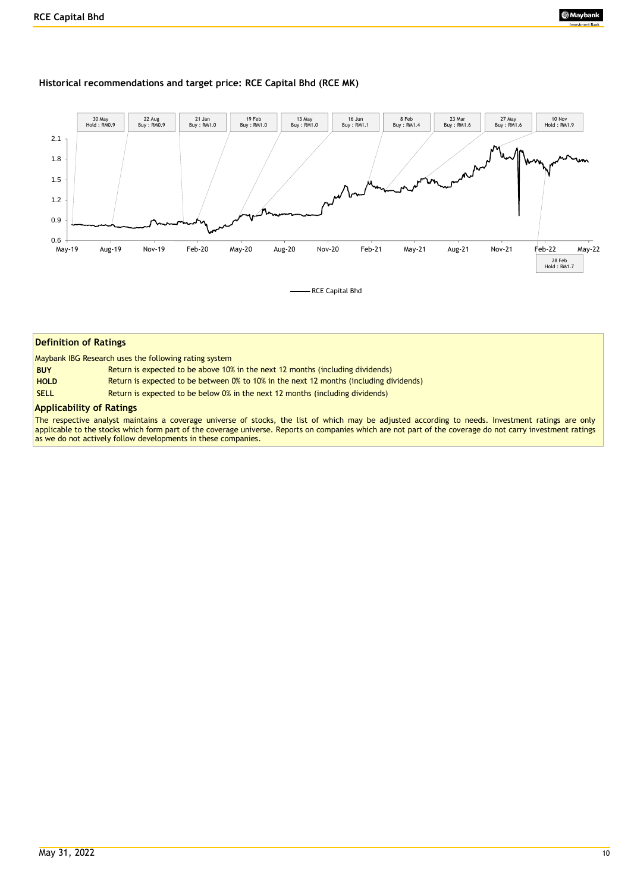### **Historical recommendations and target price: RCE Capital Bhd (RCE MK)**



#### **Definition of Ratings**

Maybank IBG Research uses the following rating system

| <b>BUY</b>  | Return is expected to be above 10% in the next 12 months (including dividends)         |
|-------------|----------------------------------------------------------------------------------------|
| <b>HOLD</b> | Return is expected to be between 0% to 10% in the next 12 months (including dividends) |
| <b>SELL</b> | Return is expected to be below 0% in the next 12 months (including dividends)          |

#### **Applicability of Ratings**

The respective analyst maintains a coverage universe of stocks, the list of which may be adjusted according to needs. Investment ratings are only applicable to the stocks which form part of the coverage universe. Reports on companies which are not part of the coverage do not carry investment ratings as we do not actively follow developments in these companies.